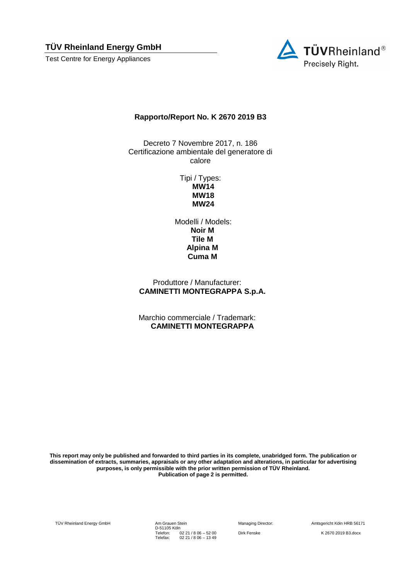Test Centre for Energy Appliances



#### **Rapporto/Report No. K 2670 2019 B3**

Decreto 7 Novembre 2017, n. 186 Certificazione ambientale del generatore di calore

> Tipi / Types: **MW14 MW18 MW24**

Modelli / Models: **Noir M Tile M Alpina M Cuma M**

Produttore / Manufacturer: **CAMINETTI MONTEGRAPPA S.p.A.**

Marchio commerciale / Trademark: **CAMINETTI MONTEGRAPPA**

**This report may only be published and forwarded to third parties in its complete, unabridged form. The publication or dissemination of extracts, summaries, appraisals or any other adaptation and alterations, in particular for advertising purposes, is only permissible with the prior written permission of TÜV Rheinland. Publication of page 2 is permitted.**

TÜV Rheinland Energy GmbH Am Grauen Stein

D-51105 Köln Telefon: Telefax: 02 21 / 8 06 – 52 00 02 21 / 8 06 – 13 49

Managing Director: Amtsgericht Köln HRB 56171

Dirk Fenske K 2670 2019 B3.docx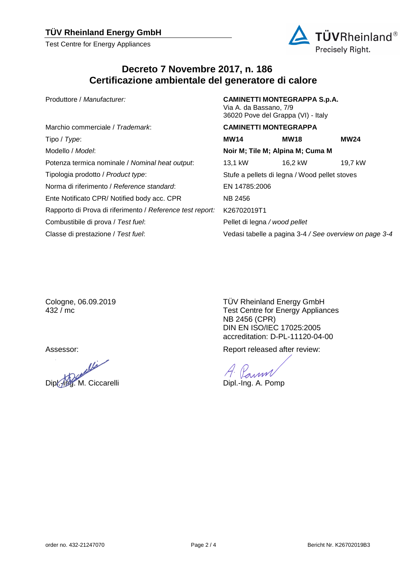Test Centre for Energy Appliances



## **Decreto 7 Novembre 2017, n. 186 Certificazione ambientale del generatore di calore**

Produttore / *Manufacturer:* **CAMINETTI MONTEGRAPPA S.p.A.**

|                                                           | 36020 Pove del Grappa (VI) - Italy |                                               |                                                        |  |
|-----------------------------------------------------------|------------------------------------|-----------------------------------------------|--------------------------------------------------------|--|
| Marchio commerciale / Trademark:                          | <b>CAMINETTI MONTEGRAPPA</b>       |                                               |                                                        |  |
| Tipo / Type:                                              | <b>MW14</b>                        | <b>MW18</b>                                   | <b>MW24</b>                                            |  |
| Modello / Model:                                          | Noir M; Tile M; Alpina M; Cuma M   |                                               |                                                        |  |
| Potenza termica nominale / Nominal heat output:           | 13,1 kW                            | 16.2 kW                                       | 19,7 kW                                                |  |
| Tipologia prodotto / Product type:                        |                                    | Stufe a pellets di legna / Wood pellet stoves |                                                        |  |
| Norma di riferimento / Reference standard:                | EN 14785:2006                      |                                               |                                                        |  |
| Ente Notificato CPR/ Notified body acc. CPR               | <b>NB 2456</b>                     |                                               |                                                        |  |
| Rapporto di Prova di riferimento / Reference test report: | K26702019T1                        |                                               |                                                        |  |
| Combustibile di prova / Test fuel:                        | Pellet di legna / wood pellet      |                                               |                                                        |  |
| Classe di prestazione / Test fuel:                        |                                    |                                               | Vedasi tabelle a pagina 3-4 / See overview on page 3-4 |  |

Via A. da Bassano, 7/9

Cologne, 06.09.2019 432 / mc

aller Dipl.-Ing. M. Ciccarelli Dipl.-Ing. A. Pomp

TÜV Rheinland Energy GmbH Test Centre for Energy Appliances NB 2456 (CPR) DIN EN ISO/IEC 17025:2005 accreditation: D-PL-11120-04-00

Assessor: Assessor: Assessor: Report released after review:

Pann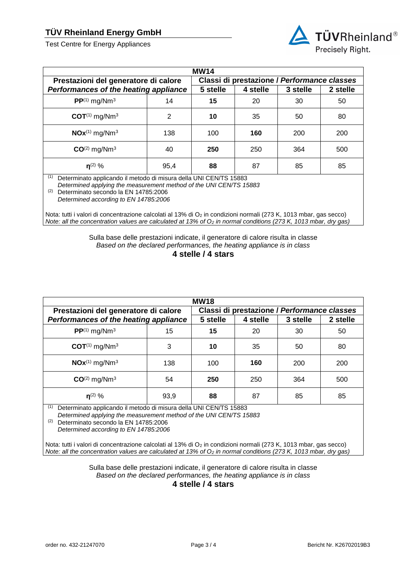Test Centre for Energy Appliances



| <b>MW14</b>                                                                                                                                                                                                                            |                                             |          |          |          |          |
|----------------------------------------------------------------------------------------------------------------------------------------------------------------------------------------------------------------------------------------|---------------------------------------------|----------|----------|----------|----------|
| Prestazioni del generatore di calore                                                                                                                                                                                                   | Classi di prestazione / Performance classes |          |          |          |          |
| Performances of the heating appliance                                                                                                                                                                                                  |                                             | 5 stelle | 4 stelle | 3 stelle | 2 stelle |
| $PP^{(1)}$ mg/Nm <sup>3</sup>                                                                                                                                                                                                          | 14                                          | 15       | 20       | 30       | 50       |
| $COT^{(1)}$ mg/Nm <sup>3</sup>                                                                                                                                                                                                         | 2                                           | 10       | 35       | 50       | 80       |
| $NOx^{(1)}$ mg/Nm <sup>3</sup>                                                                                                                                                                                                         | 138                                         | 100      | 160      | 200      | 200      |
| $CO(2)$ mg/Nm <sup>3</sup>                                                                                                                                                                                                             | 40                                          | 250      | 250      | 364      | 500      |
| $n^{(2)}$ %                                                                                                                                                                                                                            | 95,4                                        | 88       | 87       | 85       | 85       |
| (1)<br>Determinato applicando il metodo di misura della UNI CEN/TS 15883<br>Determined applying the measurement method of the UNI CEN/TS 15883<br>(2)<br>Determinato secondo la EN 14785:2006<br>Determined according to EN 14785:2006 |                                             |          |          |          |          |

Nota: tutti i valori di concentrazione calcolati al 13% di O<sub>2</sub> in condizioni normali (273 K, 1013 mbar, gas secco) *Note: all the concentration values are calculated at 13% of O<sub>2</sub> in normal conditions (273 K, 1013 mbar, dry gas)* 

> Sulla base delle prestazioni indicate, il generatore di calore risulta in classe *Based on the declared performances, the heating appliance is in class*

**4 stelle / 4 stars**

| <b>MW18</b>                           |      |                                             |          |          |          |
|---------------------------------------|------|---------------------------------------------|----------|----------|----------|
| Prestazioni del generatore di calore  |      | Classi di prestazione / Performance classes |          |          |          |
| Performances of the heating appliance |      | 5 stelle                                    | 4 stelle | 3 stelle | 2 stelle |
| $PP^{(1)}$ mg/Nm <sup>3</sup>         | 15   | 15                                          | 20       | 30       | 50       |
| $COT^{(1)}$ mg/Nm <sup>3</sup>        | 3    | 10                                          | 35       | 50       | 80       |
| $NOx^{(1)}$ mg/Nm <sup>3</sup>        | 138  | 100                                         | 160      | 200      | 200      |
| $CO(2)$ mg/Nm <sup>3</sup>            | 54   | 250                                         | 250      | 364      | 500      |
| $n^{(2)}$ %                           | 93,9 | 88                                          | 87       | 85       | 85       |

(1) Determinato applicando il metodo di misura della UNI CEN/TS 15883

*Determined applying the measurement method of the UNI CEN/TS 15883*

(2) Determinato secondo la EN 14785:2006

*Determined according to EN 14785:2006*

Nota: tutti i valori di concentrazione calcolati al 13% di O<sub>2</sub> in condizioni normali (273 K, 1013 mbar, gas secco) *Note: all the concentration values are calculated at 13% of O<sub>2</sub> in normal conditions (273 K, 1013 mbar, dry gas)* 

> Sulla base delle prestazioni indicate, il generatore di calore risulta in classe *Based on the declared performances, the heating appliance is in class* **4 stelle / 4 stars**